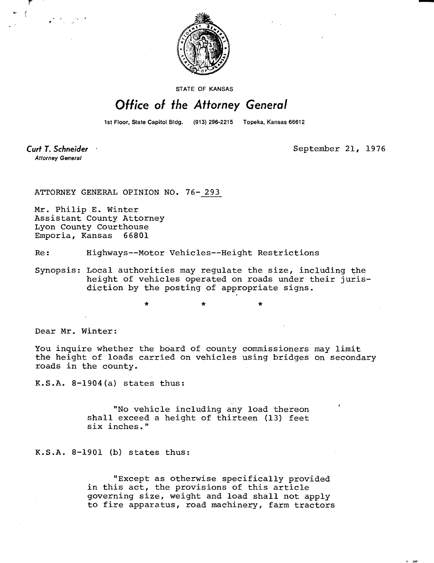

**STATE OF KANSAS** 

## Office of the Attorney General

1st Floor, State Capitol Bldg. (913) 296-2215 Topeka, Kansas 66612

Curt T. Schneider **Attorney General** 

September 21, 1976

ATTORNEY GENERAL OPINION NO. 76- 293

Mr. Philip E. Winter Assistant County Attorney Lyon County Courthouse Emporia, Kansas 66801

Re: Highways--Motor Vehicles--Height Restrictions

Synopsis: Local authorities may regulate the size, including the height of vehicles operated on roads under their jurisdiction by the posting of appropriate signs.

Dear Mr. Winter:

You inquire whether the board of county commissioners may limit the height of loads carried on vehicles using bridges on secondary roads in the county.

K.S.A. 8-1904(a) states thus:

"No vehicle including any load thereon shall exceed a height of thirteen (13) feet six inches."

K.S.A. 8-1901 (b) states thus:

"Except as otherwise specifically provided in this act, the provisions of this article governing size, weight and load shall not apply to fire apparatus, road machinery, farm tractors